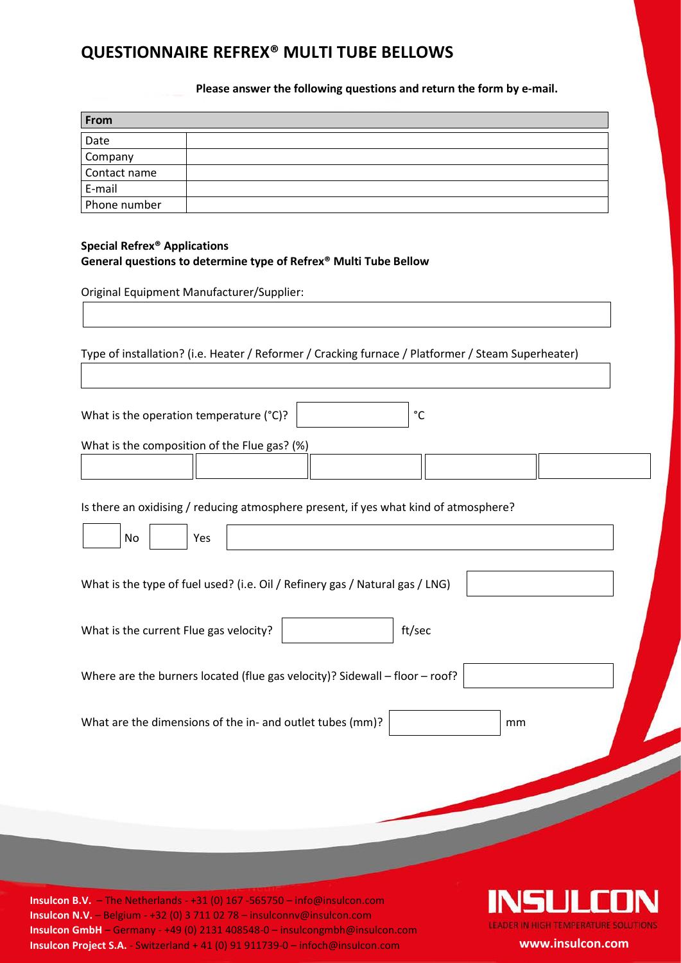## **QUESTIONNAIRE REFREX® MULTI TUBE BELLOWS**

**Please answer the following questions and return the form by e-mail.**

| From         |  |
|--------------|--|
| Date         |  |
| Company      |  |
| Contact name |  |
| E-mail       |  |
| Phone number |  |

## **Special Refrex® Applications General questions to determine type of Refrex® Multi Tube Bellow**

Original Equipment Manufacturer/Supplier:

Type of installation? (i.e. Heater / Reformer / Cracking furnace / Platformer / Steam Superheater)

What is the operation temperature (°C)? °C

What is the composition of the Flue gas? (%)

Is there an oxidising / reducing atmosphere present, if yes what kind of atmosphere?

| Yes<br>No                                                                    |  |
|------------------------------------------------------------------------------|--|
| What is the type of fuel used? (i.e. Oil / Refinery gas / Natural gas / LNG) |  |
| ft/sec<br>What is the current Flue gas velocity?                             |  |
| Where are the burners located (flue gas velocity)? Sidewall - floor - roof?  |  |
| What are the dimensions of the in- and outlet tubes (mm)?<br>mm              |  |
|                                                                              |  |

**Insulcon B.V.** – The Netherlands - +31 (0) 167 -565750 – info@insulcon.com **Insulcon N.V.** – Belgium - +32 (0) 3 711 02 78 – insulconnv@insulcon.com **Insulcon GmbH** – Germany - +49 (0) 2131 408548-0 – insulcongmbh@insulcon.com **Insulcon Project S.A.** - Switzerland + 41 (0) 91 911739-0 – infoch@insulcon.com **www.insulcon.com**